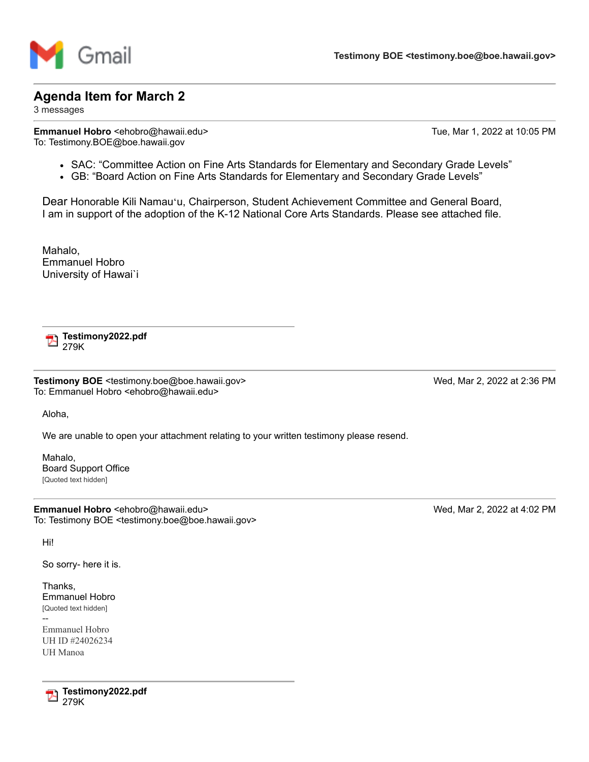

## **Agenda Item for March 2**

3 messages

**Emmanuel Hobro** <ehobro@hawaii.edu> Tue, Mar 1, 2022 at 10:05 PM To: Testimony.BOE@boe.hawaii.gov

- SAC: "Committee Action on Fine Arts Standards for Elementary and Secondary Grade Levels"
- GB: "Board Action on Fine Arts Standards for Elementary and Secondary Grade Levels"

Dear Honorable Kili Namauʻu, Chairperson, Student Achievement Committee and General Board, I am in support of the adoption of the K-12 National Core Arts Standards. Please see attached file.

Mahalo, Emmanuel Hobro University of Hawai`i

**Testimony2022.pdf** 279K

**Testimony BOE** <testimony.boe@boe.hawaii.gov> Wed, Mar 2, 2022 at 2:36 PM To: Emmanuel Hobro <ehobro@hawaii.edu>

Aloha,

We are unable to open your attachment relating to your written testimony please resend.

Mahalo, Board Support Office [Quoted text hidden]

**Emmanuel Hobro** <ehobro@hawaii.edu> Wed, Mar 2, 2022 at 4:02 PM To: Testimony BOE <testimony.boe@boe.hawaii.gov>

Hi!

So sorry- here it is.

Thanks, Emmanuel Hobro [Quoted text hidden]

-- Emmanuel Hobro UH ID #24026234 UH Manoa



**Testimony2022.pdf** 279K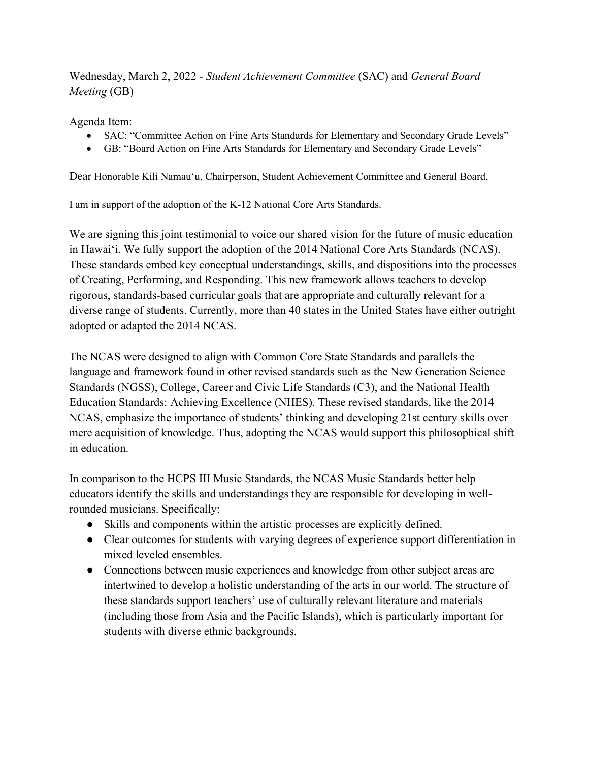Wednesday, March 2, 2022 - Student Achievement Committee (SAC) and General Board Meeting (GB)

Agenda Item:

- SAC: "Committee Action on Fine Arts Standards for Elementary and Secondary Grade Levels"
- GB: "Board Action on Fine Arts Standards for Elementary and Secondary Grade Levels"

Dear Honorable Kili Namauʻu, Chairperson, Student Achievement Committee and General Board,

I am in support of the adoption of the K-12 National Core Arts Standards.

We are signing this joint testimonial to voice our shared vision for the future of music education in Hawaiʻi. We fully support the adoption of the 2014 National Core Arts Standards (NCAS). These standards embed key conceptual understandings, skills, and dispositions into the processes of Creating, Performing, and Responding. This new framework allows teachers to develop rigorous, standards-based curricular goals that are appropriate and culturally relevant for a diverse range of students. Currently, more than 40 states in the United States have either outright adopted or adapted the 2014 NCAS.

The NCAS were designed to align with Common Core State Standards and parallels the language and framework found in other revised standards such as the New Generation Science Standards (NGSS), College, Career and Civic Life Standards (C3), and the National Health Education Standards: Achieving Excellence (NHES). These revised standards, like the 2014 NCAS, emphasize the importance of students' thinking and developing 21st century skills over mere acquisition of knowledge. Thus, adopting the NCAS would support this philosophical shift in education.

In comparison to the HCPS III Music Standards, the NCAS Music Standards better help educators identify the skills and understandings they are responsible for developing in wellrounded musicians. Specifically:

- Skills and components within the artistic processes are explicitly defined.
- Clear outcomes for students with varying degrees of experience support differentiation in mixed leveled ensembles.
- Connections between music experiences and knowledge from other subject areas are intertwined to develop a holistic understanding of the arts in our world. The structure of these standards support teachers' use of culturally relevant literature and materials (including those from Asia and the Pacific Islands), which is particularly important for students with diverse ethnic backgrounds.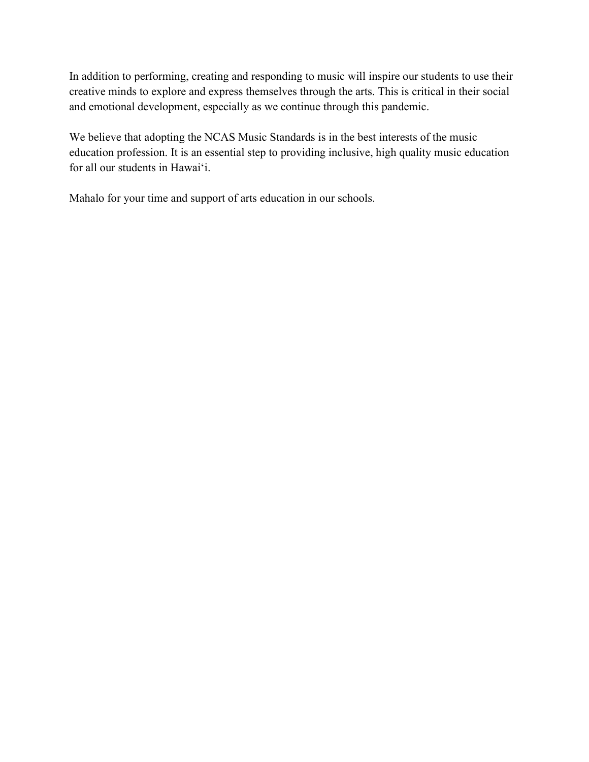In addition to performing, creating and responding to music will inspire our students to use their creative minds to explore and express themselves through the arts. This is critical in their social and emotional development, especially as we continue through this pandemic.

We believe that adopting the NCAS Music Standards is in the best interests of the music education profession. It is an essential step to providing inclusive, high quality music education for all our students in Hawaiʻi.

Mahalo for your time and support of arts education in our schools.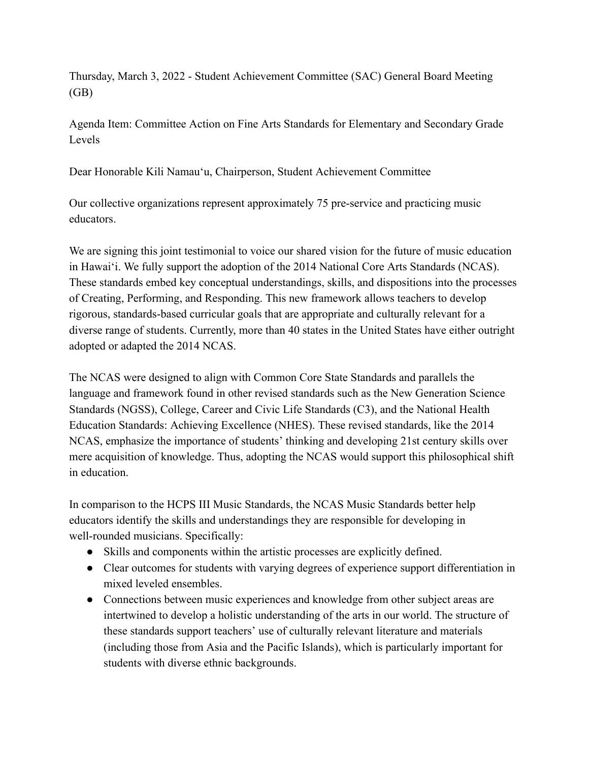Thursday, March 3, 2022 - Student Achievement Committee (SAC) General Board Meeting (GB)

Agenda Item: Committee Action on Fine Arts Standards for Elementary and Secondary Grade Levels

Dear Honorable Kili Namauʻu, Chairperson, Student Achievement Committee

Our collective organizations represent approximately 75 pre-service and practicing music educators.

We are signing this joint testimonial to voice our shared vision for the future of music education in Hawaiʻi. We fully support the adoption of the 2014 National Core Arts Standards (NCAS). These standards embed key conceptual understandings, skills, and dispositions into the processes of Creating, Performing, and Responding. This new framework allows teachers to develop rigorous, standards-based curricular goals that are appropriate and culturally relevant for a diverse range of students. Currently, more than 40 states in the United States have either outright adopted or adapted the 2014 NCAS.

The NCAS were designed to align with Common Core State Standards and parallels the language and framework found in other revised standards such as the New Generation Science Standards (NGSS), College, Career and Civic Life Standards (C3), and the National Health Education Standards: Achieving Excellence (NHES). These revised standards, like the 2014 NCAS, emphasize the importance of students' thinking and developing 21st century skills over mere acquisition of knowledge. Thus, adopting the NCAS would support this philosophical shift in education.

In comparison to the HCPS III Music Standards, the NCAS Music Standards better help educators identify the skills and understandings they are responsible for developing in well-rounded musicians. Specifically:

- Skills and components within the artistic processes are explicitly defined.
- Clear outcomes for students with varying degrees of experience support differentiation in mixed leveled ensembles.
- Connections between music experiences and knowledge from other subject areas are intertwined to develop a holistic understanding of the arts in our world. The structure of these standards support teachers' use of culturally relevant literature and materials (including those from Asia and the Pacific Islands), which is particularly important for students with diverse ethnic backgrounds.